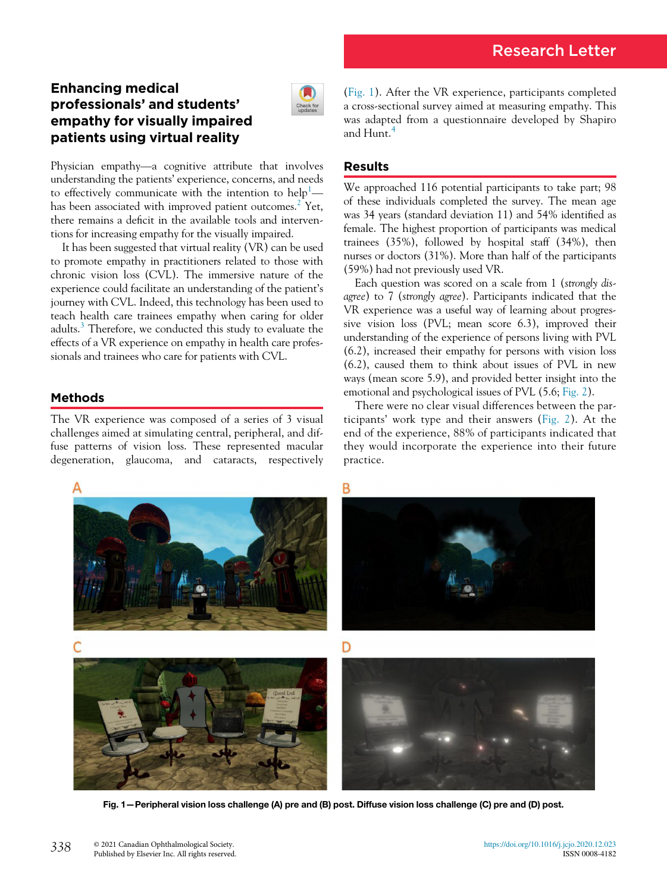# Enhancing medical professionals' and students' empathy for visually impaired patients using virtual reality



Physician empathy—a cognitive attribute that involves understanding the patients' experience, concerns, and needs to effectively communicate with the intention to  $\text{help}^1$  $\text{help}^1$ — has been associated with improved patient outcomes.<sup>[2](#page-1-1)</sup> Yet, there remains a deficit in the available tools and interventions for increasing empathy for the visually impaired.

It has been suggested that virtual reality (VR) can be used to promote empathy in practitioners related to those with chronic vision loss (CVL). The immersive nature of the experience could facilitate an understanding of the patient's journey with CVL. Indeed, this technology has been used to teach health care trainees empathy when caring for older adults.<sup>[3](#page-1-2)</sup> Therefore, we conducted this study to evaluate the effects of a VR experience on empathy in health care professionals and trainees who care for patients with CVL.

## Methods

The VR experience was composed of a series of 3 visual challenges aimed at simulating central, peripheral, and diffuse patterns of vision loss. These represented macular degeneration, glaucoma, and cataracts, respectively

[\(Fig. 1\)](#page-0-0). After the VR experience, participants completed a cross-sectional survey aimed at measuring empathy. This was adapted from a questionnaire developed by Shapiro and Hunt.<sup>[4](#page-1-3)</sup>

## Results

We approached 116 potential participants to take part; 98 of these individuals completed the survey. The mean age was 34 years (standard deviation 11) and 54% identified as female. The highest proportion of participants was medical trainees (35%), followed by hospital staff (34%), then nurses or doctors (31%). More than half of the participants (59%) had not previously used VR.

Each question was scored on a scale from 1 (strongly disagree) to 7 (strongly agree). Participants indicated that the VR experience was a useful way of learning about progressive vision loss (PVL; mean score 6.3), improved their understanding of the experience of persons living with PVL (6.2), increased their empathy for persons with vision loss (6.2), caused them to think about issues of PVL in new ways (mean score 5.9), and provided better insight into the emotional and psychological issues of PVL (5.6; [Fig. 2](#page-1-4)).

There were no clear visual differences between the participants' work type and their answers ([Fig. 2](#page-1-4)). At the end of the experience, 88% of participants indicated that they would incorporate the experience into their future practice.

<span id="page-0-0"></span>

Fig. 1—Peripheral vision loss challenge (A) pre and (B) post. Diffuse vision loss challenge (C) pre and (D) post.